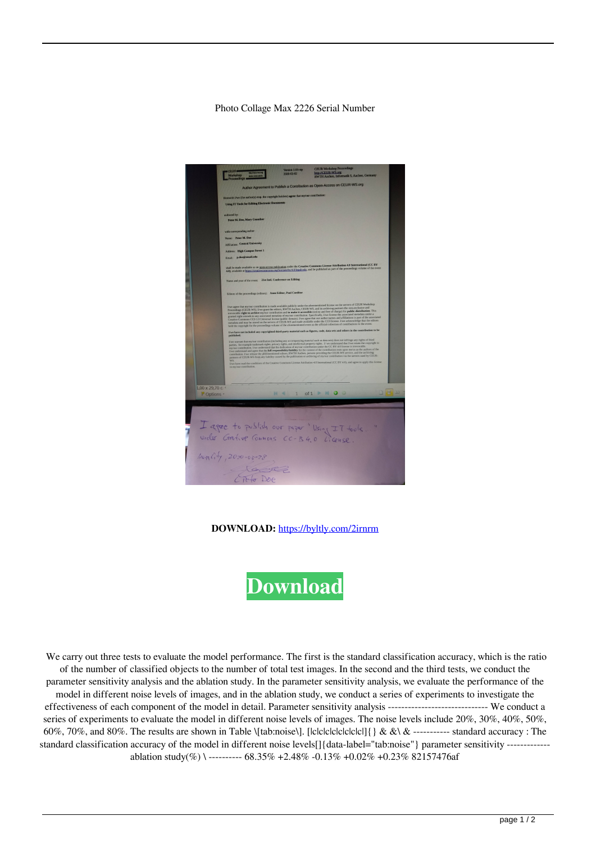## Photo Collage Max 2226 Serial Number



**DOWNLOAD:** <https://byltly.com/2irnrm>



 We carry out three tests to evaluate the model performance. The first is the standard classification accuracy, which is the ratio of the number of classified objects to the number of total test images. In the second and the third tests, we conduct the parameter sensitivity analysis and the ablation study. In the parameter sensitivity analysis, we evaluate the performance of the model in different noise levels of images, and in the ablation study, we conduct a series of experiments to investigate the effectiveness of each component of the model in detail. Parameter sensitivity analysis ------------------------------ We conduct a series of experiments to evaluate the model in different noise levels of images. The noise levels include 20%, 30%, 40%, 50%, 60%, 70%, and 80%. The results are shown in Table \[tab:noise\]. [|c|c|c|c|c|c|c|c|[] {  $\&&\&\&\&\cdots$  standard accuracy : The standard classification accuracy of the model in different noise levels<sup>[]</sup>{data-label="tab:noise"} parameter sensitivity ------------ablation study(%) \ ---------- 68.35% +2.48% -0.13% +0.02% +0.23% 82157476af